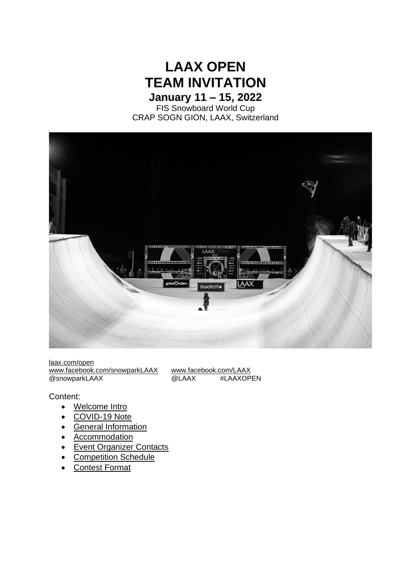# **LAAX OPEN TEAM INVITATION January 11 – 15, 2022**

FIS Snowboard World Cup CRAP SOGN GION, LAAX, Switzerland



[laax.com/open](https://open.laax.com/en/welcome/) [www.facebook.com/snowparkLAAX](http://www.facebook.com/snowparkLAAX) [www.facebook.com/LAAX](http://www.facebook.com/LAAX)<br>
@snowparkLAAX @LAAX #LAAXOPEN @snowparkLAAX

#### Content:

- Welcome Intro
- COVID-19 Note
- [General Information](file:///C:/Users/jmurer/Desktop/AAA_zum%20phautä/LAAX%20OPEN/2022/Team%20invitation_LAAX%20OPEN%202022_alt.docx%23_GENERAL_INFORMATION)
- [Accommodation](file:///C:/Users/jmurer/Desktop/AAA_zum%20phautä/LAAX%20OPEN/2022/Team%20invitation_LAAX%20OPEN%202022_alt.docx%23_ACCOMMODATION)
- [Event Organizer Contacts](file:///C:/Users/jmurer/Desktop/AAA_zum%20phautä/LAAX%20OPEN/2022/Team%20invitation_LAAX%20OPEN%202022_alt.docx%23_EVENT_ORGANIZER_CONTACTS)
- [Competition Schedule](file:///C:/Users/jmurer/Desktop/AAA_zum%20phautä/LAAX%20OPEN/2022/Team%20invitation_LAAX%20OPEN%202022_alt.docx%23_COMPETITION_SCHEDULE)
- [Contest Format](file:///C:/Users/jmurer/Desktop/AAA_zum%20phautä/LAAX%20OPEN/2022/Team%20invitation_LAAX%20OPEN%202022_alt.docx%23_CONTEST_FORMAT)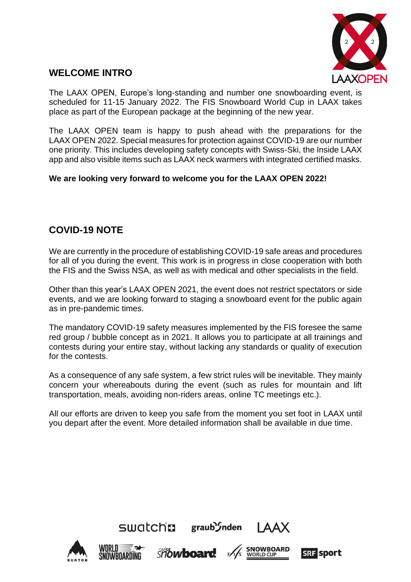

## **WELCOME INTRO**

The LAAX OPEN, Europe's long-standing and number one snowboarding event, is scheduled for 11-15 January 2022. The FIS Snowboard World Cup in LAAX takes place as part of the European package at the beginning of the new year.

The LAAX OPEN team is happy to push ahead with the preparations for the LAAX OPEN 2022. Special measures for protection against COVID-19 are our number one priority. This includes developing safety concepts with Swiss-Ski, the Inside LAAX app and also visible items such as LAAX neck warmers with integrated certified masks.

### **We are looking very forward to welcome you for the LAAX OPEN 2022!**

### **COVID-19 NOTE**

We are currently in the procedure of establishing COVID-19 safe areas and procedures for all of you during the event. This work is in progress in close cooperation with both the FIS and the Swiss NSA, as well as with medical and other specialists in the field.

Other than this year's LAAX OPEN 2021, the event does not restrict spectators or side events, and we are looking forward to staging a snowboard event for the public again as in pre-pandemic times.

The mandatory COVID-19 safety measures implemented by the FIS foresee the same red group / bubble concept as in 2021. It allows you to participate at all trainings and contests during your entire stay, without lacking any standards or quality of execution for the contests.

As a consequence of any safe system, a few strict rules will be inevitable. They mainly concern your whereabouts during the event (such as rules for mountain and lift transportation, meals, avoiding non-riders areas, online TC meetings etc.).

All our efforts are driven to keep you safe from the moment you set foot in LAAX until you depart after the event. More detailed information shall be available in due time.

 $SWolch1$  graub $S<sub>nden</sub>$   $AAX$ 









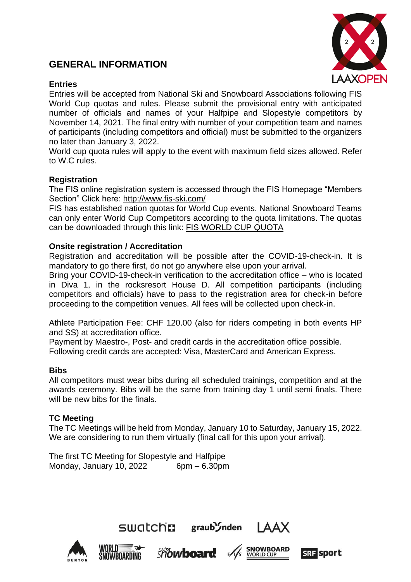### **GENERAL INFORMATION**



#### **Entries**

Entries will be accepted from National Ski and Snowboard Associations following FIS World Cup quotas and rules. Please submit the provisional entry with anticipated number of officials and names of your Halfpipe and Slopestyle competitors by November 14, 2021. The final entry with number of your competition team and names of participants (including competitors and official) must be submitted to the organizers no later than January 3, 2022.

World cup quota rules will apply to the event with maximum field sizes allowed. Refer to W.C rules.

#### **Registration**

The FIS online registration system is accessed through the FIS Homepage "Members Section" Click here: [http://www.fis-ski.com/](https://www.fis-ski.com/DB/?authentication_page=signin)

FIS has established nation quotas for World Cup events. National Snowboard Teams can only enter World Cup Competitors according to the quota limitations. The quotas can be downloaded through this link: [FIS WORLD CUP QUOTA](https://eur01.safelinks.protection.outlook.com/?url=https%3A%2F%2Fassets.fis-ski.com%2Fimage%2Fupload%2Fv1628754563%2Ffis-prod%2Fassets%2FCalculation_SB_HP_SS_BA_Qutoas_2122.pdf&data=04%7C01%7C%7C1a01090efb8f4254bab308d989daea2b%7Cf450f836a0ae487e906af759b1b45a3d%7C1%7C0%7C637692396199069684%7CUnknown%7CTWFpbGZsb3d8eyJWIjoiMC4wLjAwMDAiLCJQIjoiV2luMzIiLCJBTiI6Ik1haWwiLCJXVCI6Mn0%3D%7C3000&sdata=qdjSPY1%2FYFgX%2Bz3fQT4qgbckDYrihuDbBLbRtYgyKOE%3D&reserved=0)

#### **Onsite registration / Accreditation**

Registration and accreditation will be possible after the COVID-19-check-in. It is mandatory to go there first, do not go anywhere else upon your arrival.

Bring your COVID-19-check-in verification to the accreditation office – who is located in Diva 1, in the rocksresort House D. All competition participants (including competitors and officials) have to pass to the registration area for check-in before proceeding to the competition venues. All fees will be collected upon check-in.

Athlete Participation Fee: CHF 120.00 (also for riders competing in both events HP and SS) at accreditation office.

Payment by Maestro-, Post- and credit cards in the accreditation office possible. Following credit cards are accepted: Visa, MasterCard and American Express.

#### **Bibs**

All competitors must wear bibs during all scheduled trainings, competition and at the awards ceremony. Bibs will be the same from training day 1 until semi finals. There will be new bibs for the finals.

#### **TC Meeting**

The TC Meetings will be held from Monday, January 10 to Saturday, January 15, 2022. We are considering to run them virtually (final call for this upon your arrival).

SWOLCHE graub Inden IAAX

The first TC Meeting for Slopestyle and Halfpipe Monday, January 10, 2022 6pm – 6.30pm









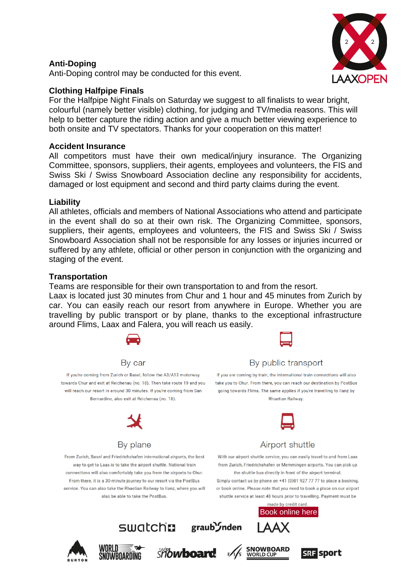#### **Anti-Doping**

Anti-Doping control may be conducted for this event.

### **Clothing Halfpipe Finals**

For the Halfpipe Night Finals on Saturday we suggest to all finalists to wear bright, colourful (namely better visible) clothing, for judging and TV/media reasons. This will help to better capture the riding action and give a much better viewing experience to both onsite and TV spectators. Thanks for your cooperation on this matter!

#### **Accident Insurance**

All competitors must have their own medical/injury insurance. The Organizing Committee, sponsors, suppliers, their agents, employees and volunteers, the FIS and Swiss Ski / Swiss Snowboard Association decline any responsibility for accidents, damaged or lost equipment and second and third party claims during the event.

#### **Liability**

All athletes, officials and members of National Associations who attend and participate in the event shall do so at their own risk. The Organizing Committee, sponsors, suppliers, their agents, employees and volunteers, the FIS and Swiss Ski / Swiss Snowboard Association shall not be responsible for any losses or injuries incurred or suffered by any athlete, official or other person in conjunction with the organizing and staging of the event.

#### **Transportation**

Teams are responsible for their own transportation to and from the resort.

Laax is located just 30 minutes from Chur and 1 hour and 45 minutes from Zurich by car. You can easily reach our resort from anywhere in Europe. Whether you are travelling by public transport or by plane, thanks to the exceptional infrastructure around Flims, Laax and Falera, you will reach us easily.



By car



#### By public transport If you are coming by train, the international train connections will also

take you to Chur. From there, you can reach our destination by PostBus

going towards Flims. The same applies if you're travelling to Ilanz by **Rhaetian Railway.** 

If you're coming from Zurich or Basel, follow the A3/A13 motorway towards Chur and exit at Reichenau (no. 18). Then take route 19 and you will reach our resort in around 30 minutes. If you're coming from San Bernardino, also exit at Reichenau (no. 18).



### By plane

From Zurich, Basel and Friedrichshafen international airports, the best way to get to Laax is to take the airport shuttle. National train connections will also comfortably take you from the airports to Chur. From there, it is a 30-minute journey to our resort via the PostBus service. You can also take the Rhaetian Railway to Ilanz, where you will also be able to take the PostBus.

With our airport shuttle service, you can easily travel to and from Laax from Zurich, Friedrichshafen or Memmingen airports. You can pick up the shuttle bus directly in front of the airport terminal.

Airport shuttle

Simply contact us by phone on +41 (0)81 927 77 77 to place a booking, or book online. Please note that you need to book a place on our airport shuttle service at least 48 hours prior to travelling. Payment must be









SWatch: graub *Inden* 





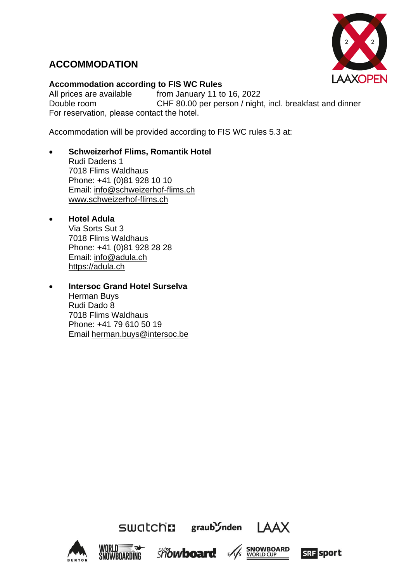

# **ACCOMMODATION**

#### **Accommodation according to FIS WC Rules**

All prices are available from January 11 to 16, 2022 Double room CHF 80.00 per person / night, incl. breakfast and dinner For reservation, please contact the hotel.

Accommodation will be provided according to FIS WC rules 5.3 at:

• **Schweizerhof Flims, Romantik Hotel** Rudi Dadens 1

7018 Flims Waldhaus Phone: +41 (0)81 928 10 10 Email: [info@schweizerhof-flims.ch](mailto:info@schweizerhof-flims.ch) [www.schweizerhof-flims.ch](http://www.schweizerhof-flims.ch/)

- **Hotel Adula** Via Sorts Sut 3 7018 Flims Waldhaus Phone: +41 (0)81 928 28 28 Email: info@adula.ch https://adula.ch
- **Intersoc Grand Hotel Surselva** Herman Buys Rudi Dado 8 7018 Flims Waldhaus Phone: +41 79 610 50 19 Email herman.buys@intersoc.be









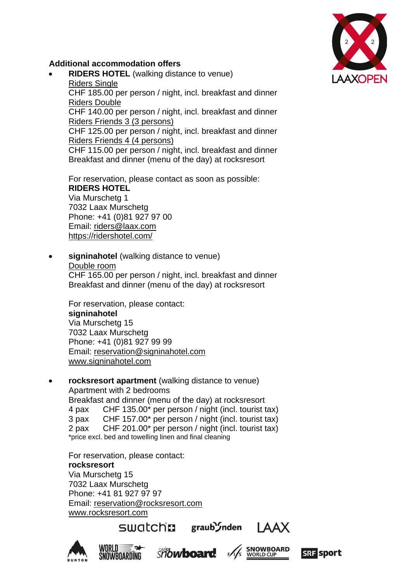

### **Additional accommodation offers**

• **RIDERS HOTEL** (walking distance to venue) Riders Single

CHF 185.00 per person / night, incl. breakfast and dinner Riders Double

CHF 140.00 per person / night, incl. breakfast and dinner Riders Friends 3 (3 persons)

CHF 125.00 per person / night, incl. breakfast and dinner Riders Friends 4 (4 persons)

CHF 115.00 per person / night, incl. breakfast and dinner Breakfast and dinner (menu of the day) at rocksresort

For reservation, please contact as soon as possible: **RIDERS HOTEL** Via Murschetg 1 7032 Laax Murschetg Phone: +41 (0)81 927 97 00 Email: [riders@laax.com](mailto:riders@laax.com)

<https://ridershotel.com/>

• **signinahotel** (walking distance to venue)

#### Double room

CHF 165.00 per person / night, incl. breakfast and dinner Breakfast and dinner (menu of the day) at rocksresort

For reservation, please contact: **signinahotel** Via Murschetg 15 7032 Laax Murschetg Phone: +41 (0)81 927 99 99 Email: [reservation@signinahotel.com](mailto:reservation@signinahotel.com) [www.signinahotel.com](http://www.signinahotel.com/)

• **rocksresort apartment** (walking distance to venue) Apartment with 2 bedrooms Breakfast and dinner (menu of the day) at rocksresort 4 pax CHF 135.00\* per person / night (incl. tourist tax) 3 pax CHF 157.00\* per person / night (incl. tourist tax) 2 pax CHF 201.00\* per person / night (incl. tourist tax) \*price excl. bed and towelling linen and final cleaning

For reservation, please contact: **rocksresort** Via Murschetg 15 7032 Laax Murschetg Phone: +41 81 927 97 97 Email: [reservation@rocksresort.com](mailto:reservation@rocksresort.com) [www.rocksresort.com](http://www.rocksresort.com/)

swatcha











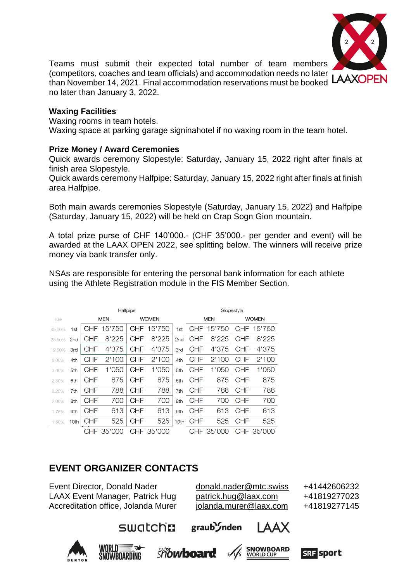

Teams must submit their expected total number of team members (competitors, coaches and team officials) and accommodation needs no later than November 14, 2021. Final accommodation reservations must be booked LAAXOPEN no later than January 3, 2022.

#### **Waxing Facilities**

Waxing rooms in team hotels.

Waxing space at parking garage signinahotel if no waxing room in the team hotel.

#### **Prize Money / Award Ceremonies**

Quick awards ceremony Slopestyle: Saturday, January 15, 2022 right after finals at finish area Slopestyle.

Quick awards ceremony Halfpipe: Saturday, January 15, 2022 right after finals at finish area Halfpipe.

Both main awards ceremonies Slopestyle (Saturday, January 15, 2022) and Halfpipe (Saturday, January 15, 2022) will be held on Crap Sogn Gion mountain.

A total prize purse of CHF 140'000.- (CHF 35'000.- per gender and event) will be awarded at the LAAX OPEN 2022, see splitting below. The winners will receive prize money via bank transfer only.

NSAs are responsible for entering the personal bank information for each athlete using the Athlete Registration module in the FIS Member Section.

|        |                 | Halfpipe   |        |              |        |                 | Slopestyle |            |              |        |
|--------|-----------------|------------|--------|--------------|--------|-----------------|------------|------------|--------------|--------|
| rule   |                 | <b>MEN</b> |        | <b>WOMEN</b> |        |                 | <b>MEN</b> |            | <b>WOMEN</b> |        |
| 45.00% | 1st             | CHE        | 5'750  | CHF          | 5'750  | 1st             | CHF        | 5'750<br>1 | CHF          | 5'750  |
| 23.50% | 2 <sub>nd</sub> | <b>CHF</b> | 8'225  | CHF          | 8'225  | 2 <sub>nd</sub> | CHF        | 8'225      | <b>CHF</b>   | 8'225  |
| 12.50% | 3rd             | CHF        | 4'375  | <b>CHF</b>   | 4'375  | <b>3rd</b>      | CHF        | 4'375      | <b>CHF</b>   | 4'375  |
| 6.00%  | 4th             | <b>CHF</b> | 2'100  | <b>CHF</b>   | 2'100  | 4th             | CHF        | 2'100      | <b>CHF</b>   | 2'100  |
| 3.00%  | 5th             | CHF        | 1'050  | CHF          | 1'050  | 5th             | CHF        | 1'050      | <b>CHF</b>   | 1'050  |
| 2.50%  | 6th             | <b>CHF</b> | 875    | <b>CHF</b>   | 875    | 6th             | <b>CHF</b> | 875        | <b>CHF</b>   | 875    |
| 2.25%  | 7th             | <b>CHF</b> | 788    | <b>CHF</b>   | 788    | 7th             | <b>CHF</b> | 788        | <b>CHF</b>   | 788    |
| 2.00%  | 8th             | <b>CHF</b> | 700    | <b>CHF</b>   | 700    | 8th             | <b>CHF</b> | 700        | <b>CHF</b>   | 700    |
| 1.75%  | 9th             | <b>CHF</b> | 613    | <b>CHF</b>   | 613    | 9 <sub>th</sub> | <b>CHF</b> | 613        | <b>CHF</b>   | 613    |
| 1.50%  | 10th            | <b>CHF</b> | 525    | <b>CHF</b>   | 525    | 10th            | <b>CHF</b> | 525        | <b>CHF</b>   | 525    |
|        |                 | CHF        | 35'000 | <b>CHF</b>   | 35'000 |                 | CHF        | 35'000     | CHF          | 35'000 |

# **EVENT ORGANIZER CONTACTS**

Event Director, Donald Nader [donald.nader@mtc.swiss](mailto:donald.nader@mtc.swiss) +41442606232 LAAX Event Manager, Patrick Hug [patrick.hug@laax.com](mailto:patrick.hug@laax.com) +41819277023 Accreditation office, Jolanda Murer [jolanda.murer@laax.com](mailto:jolanda.murer@laax.com) +41819277145

graub *I*nden





swatchn





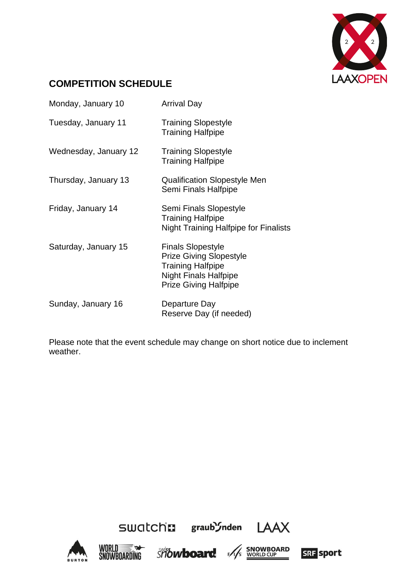

# **COMPETITION SCHEDULE**

| Monday, January 10    | <b>Arrival Day</b>                                                                                                                                     |
|-----------------------|--------------------------------------------------------------------------------------------------------------------------------------------------------|
| Tuesday, January 11   | <b>Training Slopestyle</b><br><b>Training Halfpipe</b>                                                                                                 |
| Wednesday, January 12 | <b>Training Slopestyle</b><br><b>Training Halfpipe</b>                                                                                                 |
| Thursday, January 13  | <b>Qualification Slopestyle Men</b><br>Semi Finals Halfpipe                                                                                            |
| Friday, January 14    | Semi Finals Slopestyle<br><b>Training Halfpipe</b><br><b>Night Training Halfpipe for Finalists</b>                                                     |
| Saturday, January 15  | <b>Finals Slopestyle</b><br><b>Prize Giving Slopestyle</b><br><b>Training Halfpipe</b><br><b>Night Finals Halfpipe</b><br><b>Prize Giving Halfpipe</b> |
| Sunday, January 16    | Departure Day<br>Reserve Day (if needed)                                                                                                               |

Please note that the event schedule may change on short notice due to inclement weather.







SWAtch: graub'inden LAAX